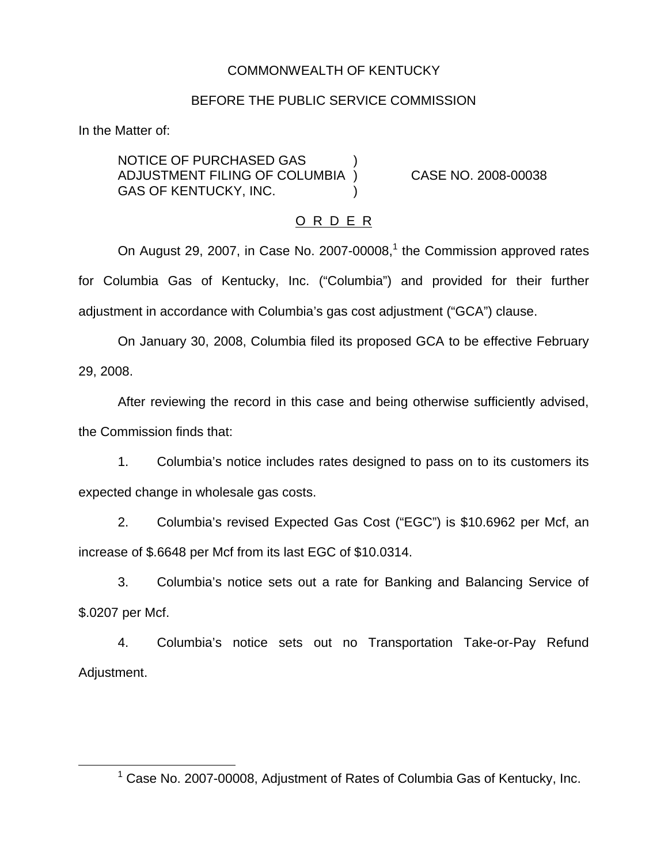# COMMONWEALTH OF KENTUCKY

# BEFORE THE PUBLIC SERVICE COMMISSION

In the Matter of:

NOTICE OF PURCHASED GAS ) ADJUSTMENT FILING OF COLUMBIA ) CASE NO. 2008-00038 GAS OF KENTUCKY, INC.

### O R D E R

On August 29, 2007, in Case No. 2007-00008,<sup>1</sup> the Commission approved rates for Columbia Gas of Kentucky, Inc. ("Columbia") and provided for their further adjustment in accordance with Columbia's gas cost adjustment ("GCA") clause.

On January 30, 2008, Columbia filed its proposed GCA to be effective February 29, 2008.

After reviewing the record in this case and being otherwise sufficiently advised, the Commission finds that:

1. Columbia's notice includes rates designed to pass on to its customers its expected change in wholesale gas costs.

2. Columbia's revised Expected Gas Cost ("EGC") is \$10.6962 per Mcf, an increase of \$.6648 per Mcf from its last EGC of \$10.0314.

3. Columbia's notice sets out a rate for Banking and Balancing Service of \$.0207 per Mcf.

4. Columbia's notice sets out no Transportation Take-or-Pay Refund Adjustment.

<sup>1</sup> Case No. 2007-00008, Adjustment of Rates of Columbia Gas of Kentucky, Inc.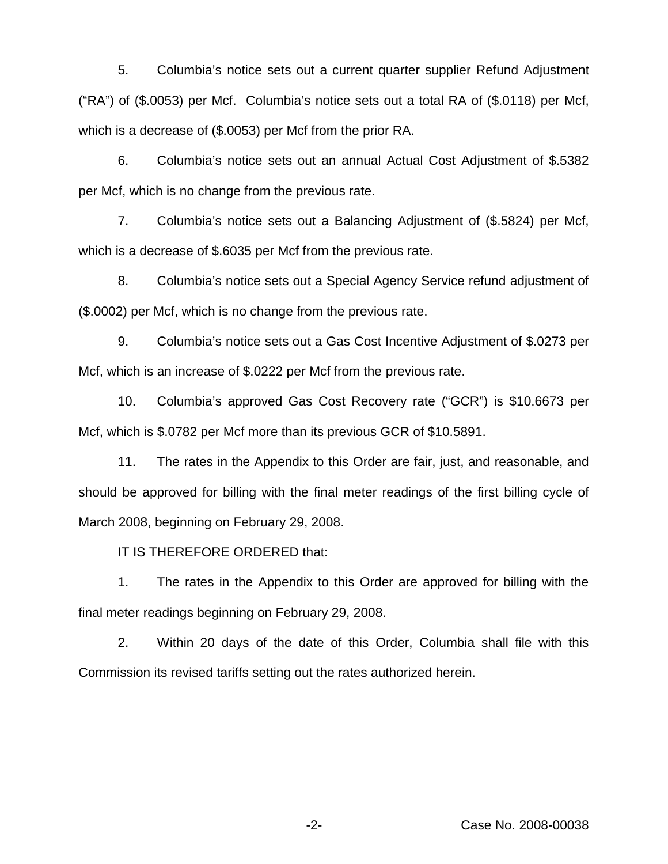5. Columbia's notice sets out a current quarter supplier Refund Adjustment ("RA") of (\$.0053) per Mcf. Columbia's notice sets out a total RA of (\$.0118) per Mcf, which is a decrease of (\$.0053) per Mcf from the prior RA.

6. Columbia's notice sets out an annual Actual Cost Adjustment of \$.5382 per Mcf, which is no change from the previous rate.

7. Columbia's notice sets out a Balancing Adjustment of (\$.5824) per Mcf, which is a decrease of \$.6035 per Mcf from the previous rate.

8. Columbia's notice sets out a Special Agency Service refund adjustment of (\$.0002) per Mcf, which is no change from the previous rate.

9. Columbia's notice sets out a Gas Cost Incentive Adjustment of \$.0273 per Mcf, which is an increase of \$.0222 per Mcf from the previous rate.

10. Columbia's approved Gas Cost Recovery rate ("GCR") is \$10.6673 per Mcf, which is \$.0782 per Mcf more than its previous GCR of \$10.5891.

11. The rates in the Appendix to this Order are fair, just, and reasonable, and should be approved for billing with the final meter readings of the first billing cycle of March 2008, beginning on February 29, 2008.

IT IS THEREFORE ORDERED that:

1. The rates in the Appendix to this Order are approved for billing with the final meter readings beginning on February 29, 2008.

2. Within 20 days of the date of this Order, Columbia shall file with this Commission its revised tariffs setting out the rates authorized herein.

-2- Case No. 2008-00038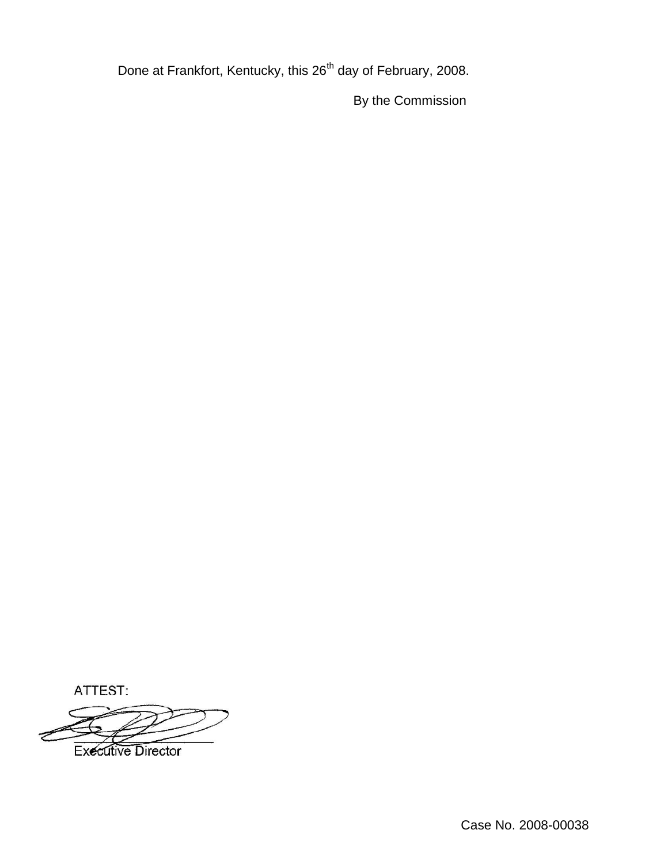Done at Frankfort, Kentucky, this 26<sup>th</sup> day of February, 2008.

By the Commission

ATTEST:

**Executive Director**